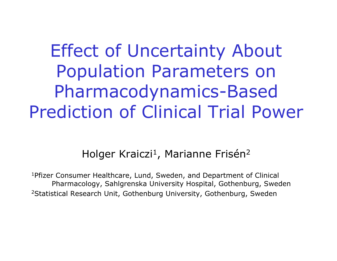# Effect of Uncertainty About Population Parameters on Pharmacodynamics-Based Prediction of Clinical Trial Power

### Holger Kraiczi<sup>1</sup>, Marianne Frisén<sup>2</sup>

1Pfizer Consumer Healthcare, Lund, Sweden, and Department of Clinical Pharm acology, Sahlgrenska University Hospital, Gothenburg, S weden 2Statistical Research Unit, Gothenburg University, Gothenburg, Sweden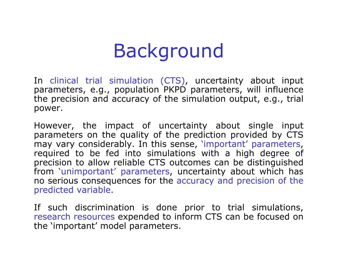# Background

In clinical trial simulation (CTS), uncertainty about input parameters, e.g., population PKPD parameters, will influence the precision and accuracy of the simulation output, e.g., trial power.

However, the impact of uncertainty about single input parameters on the quality of the prediction provided by C TS may vary considerably. In this sense, 'important' parameters, required to be fed into simulations with a high degree of precision to allow reliable C TS outcomes can be distinguished from 'unimportant' parameters, uncertainty about which has no serious consequences for the accuracy and precision of the predicted variable.

If such discrimination is done prior to trial simulations, research resources expen ded to inform C TS can be focused on the 'important' model parameters.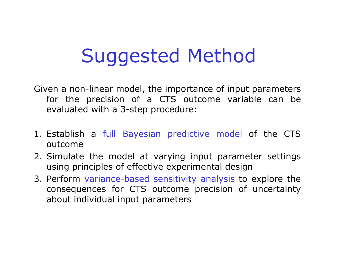# Suggested Method

Given a non-linear model, the importance of input parameters for the precision of a CTS outcome variable can be evaluated with a 3-step procedure:

- 1. Establish a full Bayesian predictive model of the CTS outcome
- 2. Simulate the model at varying input parameter settings using principles of effective experimental design
- 3. Perform variance-based sensitivity analysis to explore the consequences for CTS outcome precision of uncertainty about individual input parameters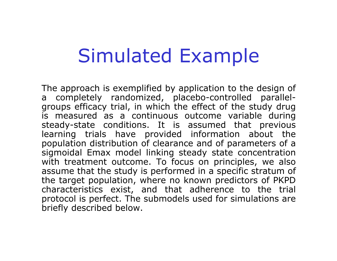# Simulated Example

The approach is exemplified b y application to the design of a completely randomized, placebo-controlled parallelgroups efficacy trial, in which the effect of the study drug is measured as a continuous outcome variable during steady-state conditions. It is assumed that previous learning trials have provided information about the population distribution of clearance and of parameters of a sigmoidal Emax model linking steady state concentration with treatment outcome. To focus on principles, we also assume that the study is performed in a specific stratum of the target population, where no known predictors of PKPD characteristics exist, and that adherence to the trial protocol is perfect. The submodels used for simulations are briefly described below.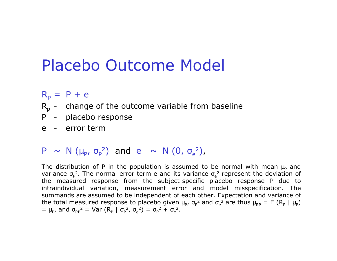### Placebo Outcome Model

#### $R_p = P + e$

- $R_p$  change of the outcome variable from baseline
- P placebo response
- e error-term

#### $\mathsf{P} \;\, \sim \;\, \mathsf{N} \;$   $(\mu_{\mathsf{P}}, \; \sigma_{\mathsf{P}}$ 2 ) and e  $\sim$  N (0,  $\sigma_{\rm e}$ 2 ),

The distribution of P in the population is assumed to be normal with mean  $\mu_{\sf p}$  and variance  $\sigma_{\rm P}$ <sup>2</sup>. The normal error term e and its variance  $\sigma_{\rm e}$ <sup>2</sup> represent the deviation of the measured response from the subject-specific place bo response P due to intraindividual variation, measurement error and model misspecification. The summands are assumed to be independent of each other. Expectation and variance of the total measured response to placebo given  $\mu_{\sf p}$ ,  $\sigma_{\sf p}{}^2$  and  $\sigma_{\sf e}{}^2$  are thus  $\mu_{\sf RP} = {\sf E}$   $({\sf R}_{\sf p} \mid \mu_{\sf p})$ = μ<sub>p</sub>, and  $\sigma_{RP}^2$  = Var (R<sub>p</sub> |  $\sigma_{P}^2$ ,  $\sigma_{e}^2$ ) =  $\sigma_{P}^2$  +  $\sigma_{e}^2$ .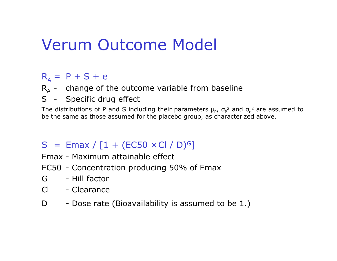## Verum Outcome Model

### $R_A = P + S + e$

- $R_A$  change of the outcome variable from baseline
- S Specific drug effect

The distributions of P and S including their parameters  $\mu_{\sf p}$ ,  $\sigma_{\sf p}^2$  and  $\sigma_{\sf e}^2$  are assumed to be the same as those assumed for the placebo group, as characterized above.

#### $S = Emax / [1 + (EC50 \times Cl / D)^G]$ ]

- Emax Maximum attainable e ffect
- EC50 Concentration producing 50% of Emax
- G- Hill factor
- Cl Clearance
- D- Dose rate (Bioa v ailability is assumed to be 1.)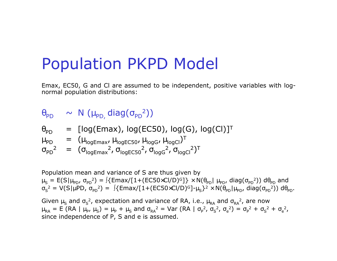### Population PKPD Model

Emax, EC50, G and Cl are assumed to be independe nt, positive variables wit h lognormal population distributions:

### $\theta_\mathsf{PD}$   $\quad$   $\sim$   $\,$  N  $\,(\mu_\mathsf{PD}, \mathsf{diag}(\sigma_\mathsf{PD}{}^2))$

$$
\theta_{PD} = [log(Emax), log(EC50), log(G), log(CI)]^T
$$

 $\mu_{\text{PD}}$  $\mathsf{p} \quad = \quad (\mathsf{\mu_{logEmax}, \, \mu_{logECS0}, \, \mu_{logG}, \, \mu_{logCl})^T}$ 

$$
\sigma_{PD}^2 = (\sigma_{logEmax}^2, \sigma_{logECS0}^2, \sigma_{logG}^2, \sigma_{logCl}^2)^T
$$

Population mean and variance of S are thus given by  $\mu_S=$  E(S| $\mu_{\sf PD}$ ,  $\sigma_{\sf PD}$ 2) =  $\int$ {Emax/[1+(EC50×Cl/D)<sup>G</sup>]} × N( $\theta_{\sf PD}$ |  $\mu_{\sf PD}$ , diag( $\sigma_{\sf PD}$ 2)) d $\theta_{\sf PD}$  and  $\sigma_{\mathsf{S}}$ <sup>2</sup> = V(S|µPD,  $\sigma_{\text{PD}}^2$ ) =  $\int$ {Emax/[1+(EC50×Cl/D)<sup>G</sup>]- $\mu_S$ }<sup>2</sup> × N( $\theta_{\text{PD}}|\mu_{\text{PD}}$ , diag( $\sigma_{\text{PD}}^2$ )) d $\theta_{\text{PD}}$ .

Given  $\mu_{\sf S}$  and  $\sigma_{\sf S}^{-2}$ , expectation and variance of RA, i.e.,  $\mu_{\sf RA}$  and  $\sigma_{\sf RA}^{-2}$ , are now  $\mu_{RA}$  = E (RA |  $\mu_P$ ,  $\mu_S$ ) =  $\mu_P$  +  $\mu_S$  and  $\sigma_{RA}^2$  = Var (RA |  $\sigma_P^2$ ,  $\sigma_S^2$ <sup>2</sup>, σ<sub>e</sub><sup>2</sup>) = σ<sub>p</sub><sup>2</sup> + σ<sub>S</sub>  $^{2} + \sigma_{e}^{2}$ , since i ndep endence of P, S and e is assumed.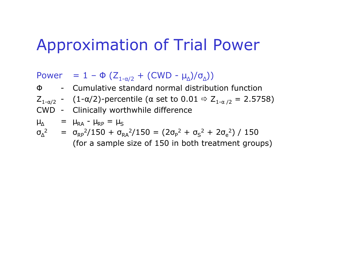## Approximation of Trial Power

 $\mathsf{Power} \quad = \, 1 \, - \, \Phi \, \left( Z_{\overline{1\, \alpha/2}} \, + \, (\mathsf{CWD} \, - \, \mu_{\scriptscriptstyle{\Delta}}) / \sigma_{\scriptscriptstyle{\Delta}} \right) \big)$ Φ- Cumulative standard normal distribution function  $\mathsf{Z}_{1\text{-}\alpha/2}$  -  $\pmod{(1-\alpha/2)}$ -percentile ( $\alpha$  set to  $0.01\Rightarrow \mathsf{Z}_{1\text{-}\alpha/2} = 2.5758)$ CWD - Clinically wor thwhile difference  $\mu_{\Delta}$  =  $\mu_{\text{RA}}$  -  $\mu_{\text{RP}}$  =  $\mu_{\text{S}}$ 

$$
\sigma_{\Delta}^2 = \sigma_{RP}^2/150 + \sigma_{RA}^2/150 = (2\sigma_P^2 + \sigma_S^2 + 2\sigma_e^2) / 150
$$
\n(for a sample size of 150 in both treatment groups)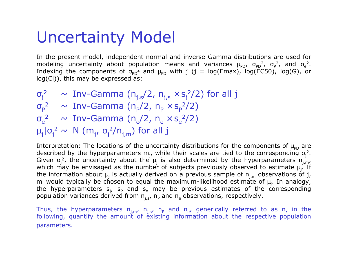## Uncertainty Model

In the present model, independent normal and inverse Gamma distributions are used for modeling uncertainty about population means and variances  $\mu_{\rm PD}$ ,  $\sigma_{\rm PD}^{-2}$ ,  $\sigma_{\rm P}^{-2}$ , and  $\sigma_{\rm e}^{-2}$ . Indexing the components of  $\sigma_{\text{PD}}^2$  and  $\mu_{\text{PD}}$  with j (j = log(Emax), log(EC50), log(G), or log(Cl)), this may b e expressed as:

 $\sigma_{\rm j}^{\rm -2} \quad \sim \; {\rm Inv\text{-}Gamma} \;$  (n $_{\rm j,s}^{\rm +2}$ /2, n $_{\rm j,s}$   $\times$  s $_{\rm j}^{\rm -2}$ /2) for all  $\rm j$  $\sigma_{\mathsf{P}}$ <sup>2</sup> ~ Inv-Gamma (n<sub>p</sub>/2, n<sub>p</sub>  $\times$  s<sub>p</sub><sup>2</sup>/2)  $\sigma_{\rm e}$ <sup>2</sup> ~ Inv-Gamma (n<sub>e</sub>/2, n<sub>e</sub>  $\times$  s<sub>e</sub><sup>2</sup>/2)  $\mu_{\sf j}$ |σ $_{\sf j}^2$   $\sim$   $\,$  N  $\,$  (m $_{\sf j}$ , σ $_{\sf j}^2$ /n $_{\sf j,m}$ ) for all  $\,$ j

Interpretation: The locations of the uncertainty distributions for the components of  $\mu_\mathsf{PD}$  are described by the hyperparameters m<sub>j</sub>, while their scales are tied to the corresponding σ<sub>j</sub>2.<br>Given σ<sub>j</sub>2, the uncertainty about the μ<sub>j</sub> is also determined by the hyperparameters n<sub>j,m</sub>, which may be envisaged as the number of subjects previously observed to estimate  $\mu_j$ . If the information about  $\mu_j$  is actually derived on a previous sample of  $\mathsf{n}_{\text{j,m}}$  observations of  $\mathsf{j},$  $\mathsf{m}_\mathrm{j}$  would typically be chosen to equal the maximum-likelihood estimate of  $\mu_\mathrm{j}$ . In analogy, the hyperparameters s<sub>j</sub>, s<sub>p</sub> and s<sub>e</sub> may be previous estimates of the corresponding population variances derived from  $\mathsf{n_{j,s^{\prime}}}$   $\mathsf{n_{p}}$  and  $\mathsf{n_{e}}$  observations, respectively.

Thus, the hyperparameters  $n_{j,m}$ ,  $n_{j,s}$ ,  $n_P$  and  $n_e$ , generically referred to as n, in the following, quantify the amount of existing information about the respective populatio n param eters.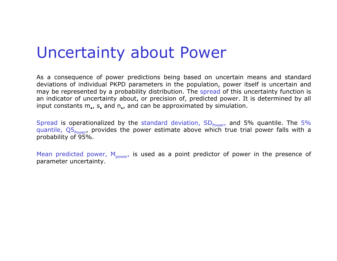### Uncertainty about Power

As a consequence of power predictions being based on uncertain means and standard deviations of individual P KPD parameters in the population, power itself is uncertain and may be represented by a probability distribution. The spread of this uncertainty function is an indicator of uncertainty about, or precision of, predicted power. It is determined by all input constants m., s. and n., and can be approximated by simulation.

Spread is operationalized by the standard deviation, SD<sub>Power</sub>, and 5% quantile. The 5% quantile, Q5<sub>Power</sub>, provides the power estimate above which true trial power falls with a pro bability o f 9 5 %.

Mean predicted power, M<sub>power</sub>, is used as a point predictor of power in the presence of param eter uncertainty.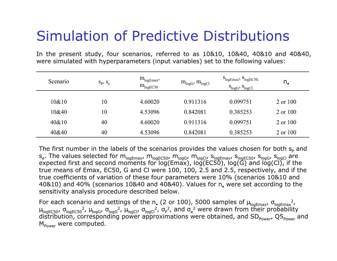### Simulation of Predictive Distributions

In the present study, four scenarios, referred to as 10&10, 10&40, 40&10 and 40&40, were simulated with hyperparameters (input variables) set to the following values:

| Scenario | $S_p, S_e$ | $m_{logEmax}$<br>$m_{logEC50}$ | $m_{logG}$ , $m_{logCl}$ | $S_{logEmax}$ , $S_{logEC50}$<br>$S_{logG}$ , $S_{logCl}$ | n.       |
|----------|------------|--------------------------------|--------------------------|-----------------------------------------------------------|----------|
| 10&10    | 10         | 4.60020                        | 0.911316                 | 0.099751                                                  | 2 or 100 |
| 10&40    | 10         | 4.53096                        | 0.842081                 | 0.385253                                                  | 2 or 100 |
| $40\&10$ | 40         | 4.60020                        | 0.911316                 | 0.099751                                                  | 2 or 100 |
| 40&40    | 40         | 4.53096                        | 0.842081                 | 0.385253                                                  | 2 or 100 |

The first number in the labels of the scenarios provides the values chosen for both  $s_{\text{\tiny{P}}}$  and  $s_{\rm e}$ . The values selected for  ${\rm m}_{\rm logEmax}$ ,  ${\rm m}_{\rm logEC50}$ ,  ${\rm m}_{\rm logGI}$ ,  ${\rm m}_{\rm logCI}$ ,  ${\rm s}_{\rm logEC50}$ ,  ${\rm s}_{\rm logGI}$  are expected first and second moments for log(Emax), log(EC50), log(G) and log(Cl), if the true means of Emax, EC50, G and Cl were 100, 100, 2.5 and 2.5, respectively, and if the true coefficients of variation of these four parameters were 10% (scenarios 10&10 and 40&10) and 40% (scenarios 10&40 and 40&40). Values for n, were set according to the sensitivity analysis procedure described below.

For each scenario and settings of the n. (2 or 100), 5000 samples of  $\mu_\mathsf{logEmax'}$ ,  $\sigma_\mathsf{logEmax}^2$ ,  $\mu_{\sf logEC50}$ , σ<sub>logEC50</sub>2,  $\mu_{\sf logG}$ , σ<sub>logG</sub>2,  $\mu_{\sf logCl}$ , σ<sub>logCl</sub>2, σ<sub>p</sub>2, and σ<sub>e</sub>2 were drawn from their probability distribution, corresponding power approximations were obtained, and SD<sub>Power</sub>, Q5<sub>Power</sub> and M<sub>power</sub> were computed.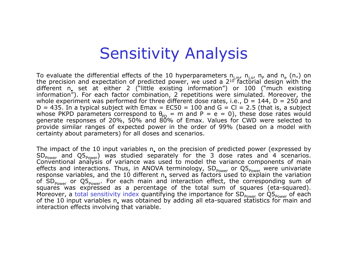## Sensitivity Analysis

To evaluate the differential effects of the 10 hyperparameters  $\eta_{j,m'}$ ,  $\eta_{j,s'}$ ,  $n_P$  and  $n_e$  (n $_{*}$ ) on the precision and expectation of predicted power, we used a  $2^{10}$  factorial design with the different n<sub>e</sub> set at either 2 ("little existing information") or 100 ("much existing information"). For each factor combination, 2 repetitions were simulated. Moreover, the w hole e xperiment was performed for three different dose rates, i.e., D = 144, D = 250 and D = 435. In a typical subject with Emax = EC50 = 100 and G = Cl = 2.5 (that is, a subject whose PKPD parameters correspond to  $\theta_{\text{PD}} = m$  and P = e = 0), these dose rates would generate responses of 20%, 50% and 80% of Emax. Values for CWD were sel ecte d to provide similar ranges of expected power in the order of 99% (based on a model with certainty about param eters) for all doses and scenarios.

The impact of the 10 input variables n, on the precision of predicted power (expressed by  $\mathsf{SD}_{\mathsf{Power}}$  and  $\mathsf{Q5}_{\mathsf{Power}}$ ) was studied separately for the 3 dose rates and 4 scenarios. Conventional analysis of variance was used to model the variance components of main effects and interactions. Thus, in ANOVA terminology, SD<sub>power</sub> or Q5<sub>power</sub> were univariate response variables, and the 10 different n. served as factors used to explain the variation of SD<sub>power</sub> or Q5<sub>power</sub>. For each main and interaction effect, the corresponding sum of squares was expresse d as a percentage of the total sum of squares (eta-squared). Moreover, a total sensitivity index quantifying the importance for SD<sub>Power</sub> or Q5<sub>Power</sub> of each of the 10 input variables n, was obtained by adding all eta-squared statistics for main and interaction effects involving that variable.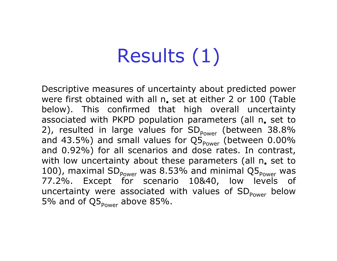# Results (1)

Descriptive measures of uncertainty about predicted power were first obtained with all n. set at either 2 or 100 (Table below). This confirmed that high overall uncertainty associated with PKPD population parameters (all n, set to 2), resulted in large values for SD<sub>power</sub> (between 38.8% and 43.5%) and small values for Q5 $_{_{\rm{Power}}}$  (between 0.00% and 0.92%) for all scenarios and dose rates. In contrast, with low uncertainty about these parameters (all n. set to 100), maximal SD $_{_{\mathrm{Power}}}$  was 8.53% and minimal Q5 $_{_{\mathrm{Power}}}$  was 77.2%. Except for scenario 10&40, low levels of uncertainty were associated with values of SD<sub>Power</sub> below 5% and of Q5<sub>Power</sub> above 85%.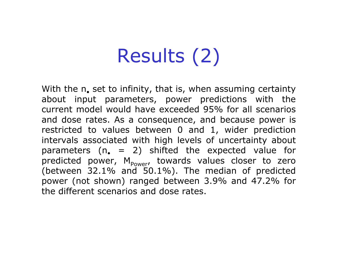# Results (2)

With the n, set to infinity, that is, when assuming certainty about input parameters, power predictions with the current model would have exceeded 95% for all scenarios and dose rates. As a consequence, and because power is restricted to values between 0 and 1, wider prediction intervals associated with high levels of uncertainty about parameters (n, = 2) shifted the expected value for predicted power,  $M_{Power}$ , towards values closer to zero (between 32.1% and 50.1%). The median of predicted power (not shown) ranged between 3.9% and 47.2% for the different scenarios and dose rates.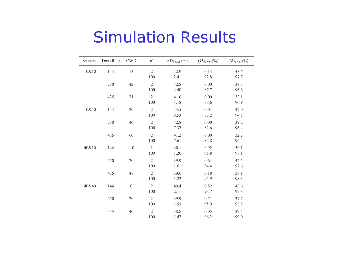### Simulation Results

| Scenario | Dose Rate | <b>CWD</b>       | $\rm n^a$             | $SDPower (\% )$ | $Q5_{Power}$ (%) | $M_{Power}$ (%) |
|----------|-----------|------------------|-----------------------|-----------------|------------------|-----------------|
| 10&10    | 144       | 13               | $\overline{2}$<br>100 | 42.9<br>2.41    | 0.13<br>92.8     | 48.6<br>97.7    |
|          | 250       | 42               | $\overline{2}$<br>100 | 42.8<br>4.40    | 0.00<br>87.7     | 39.5<br>96.6    |
|          | 435       | 71               | $\overline{2}$<br>100 | 41.0<br>4.18    | 0.00<br>88.6     | 32.1<br>96.9    |
| 10&40    | 144       | 20               | $\overline{2}$<br>100 | 43.5<br>8.53    | 0.01<br>77.2     | 47.0<br>94.5    |
|          | 250       | 40               | $\overline{2}$<br>100 | 42.8<br>7.37    | 0.00<br>82.6     | 39.2<br>96.4    |
|          | 435       | 60               | $\sqrt{2}$<br>100     | 41.2<br>7.61    | 0.00<br>82.8     | 32.2<br>96.4    |
| 40&10    | 144       | $-10$            | $\overline{2}$<br>100 | 40.1<br>1.20    | 0.92<br>95.8     | 50.1<br>98.1    |
|          | 250       | 20               | $\overline{2}$<br>100 | 39.9<br>1.61    | 0.64<br>94.4     | 42.5<br>97.6    |
|          | 435       | 48               | $\overline{2}$<br>100 | 39.6<br>1.22    | 0.18<br>95.9     | 38.1<br>98.3    |
| 40&40    | 144       | $\boldsymbol{0}$ | $\overline{2}$<br>100 | 40.4<br>2.11    | 0.82<br>93.7     | 43.6<br>97.8    |
|          | 250       | $20\,$           | $\overline{2}$<br>100 | 39.9<br>1.53    | 0.51<br>95.9     | 37.7<br>98.8    |
|          | 435       | 40               | $\overline{2}$<br>100 | 38.8<br>1.47    | 0.05<br>96.2     | 32.4<br>99.0    |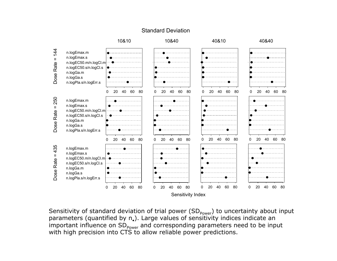#### Standard Deviation



Sensitivity of standard deviation of trial power  $(SD_{Power})$  to uncertainty about input parameters (quantified by  $n_e$ ). Large values of sensitivity indices indicate an important influence on SD<sub>power</sub> and corresponding parameters need to be input with high precision into CTS to allow reliable power predictions.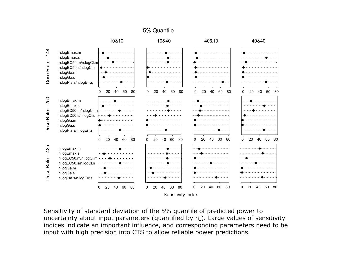

Sensitivity of standard deviation of the 5% quantile of predicted power to uncertainty about input parameters (quantified by  $n_a$ ). Large values of sensitivity indices indicate an important influence, and corresponding parameters need to be input with high precision into CTS to allow reliable power predictions.